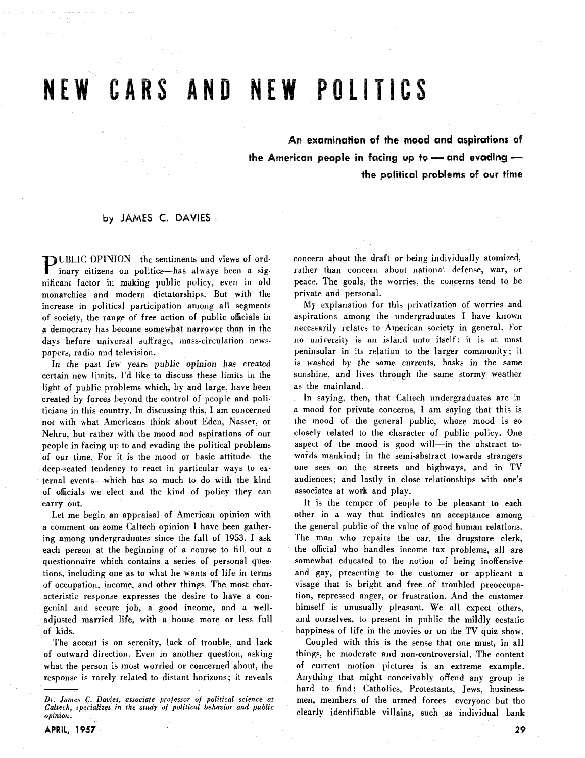# NEW CARS AND NEW POLITICS

An examination of the mood and aspirations of the American people in facing up to - and evading the political problems of our time

#### by JAMES C. DAVIES

**DUBLIC OPINION-the sentiments and views of ord**inary citizens on politics--has always been a significant factor in making public policy, even in old monarchies and modern dictatorships. But with the increase in political participation among all segments of society, the range of free action of public officials in a democracy has become somewhat narrower than in the days before universal suffrage, mass-circulation newspapers, radio and television.

In the past few years public opinion has created certain new limits. I'd like to discuss these limits in the light of public problems which, by and large. have been created by forces beyond the control of people and politicians in this country. In discussing this, I am concerned not with what Americans think about Eden, Nasser, or Nehru, but rather with the mood and aspirations of our people in facing up to and evading the political problems of our time. For it is the mood or basic attitude-the deep-seated tendency to react in particular ways to external events-which has so much to do with the kind of officials we elect and the kind of policy they can carry out.

Let me begin an appraisal of American opinion with a comment on some Caltech opinion I have been gathering among undergraduates since the fall of 1953. I ask each person at the beginning of a course to fill out a questionnaire which contains a series of personal questions, including one as to what he wants of life in terms of occupation, income, and other things. The most characteristic response expresses the desire to have a congenial and secure job, a good income, and a welladjusted married life, with a house more or less full of kids.

The accent is on serenity, lack of trouble, and lack of outward direction. Even in another question, asking what the person is most worried or concerned about, the response is rarely related to distant horizons; it reveals concern about the draft or being individually atomized, rather than concern about national defense, war, or peace. The goals. the worries. the concerns tend to be private and personal.

**My** explanation for this privatization of worries and aspirations among the undergraduates I have known necessarily relates to American society in general. For no university is an island unto itself: it is at most peninsular in its relation to the larger community; it is washed by the same currents, basks in the same sunshine, and lives through the same stormy weather as the mainland.

In saying. then, that Caltech undergraduates are in a mood for private concerns, I am saying that this is the mood of the general public, whose mood is so closely related to the character of public policy. One aspect of the mood is good will-in the abstract towards mankind; in the semi-abstract towards strangers one sees on the streets and highways, and in TV audiences; and lastly in close relationships with one's associates at work and play.

It is the temper of people to be pleasant to each other in a way that indicates an acceptance among the general public of the value of good human relations. The man who repairs the car, the drugstore clerk, the official who handles income tax problems, all are somewhat educated to the notion of being inoffensive and gay, presenting to the customer or applicant a visage that is bright and free of troubled preoccupation, repressed anger. or frustration. And the customer himself is unusually pleasant. We all expect others, and ourselves, to present in public the mildly ecstatic happiness of life in the movies or on the TV quiz show.

Coupled with this is the sense that one must, in all things, be moderate and non-controversial. The content of current motion pictures is an extreme example. Anything that might conceivably offend any group is hard to find: Catholics, Protestants, Jews, businessmen, members of the armed forces-everyone but the clearly identifiable villains, such as individual bank

*Dr. lames* **C.** *Davies, associate professor of political science at Caltcch, specializes in the study* **of** *political behavior and public opinion.*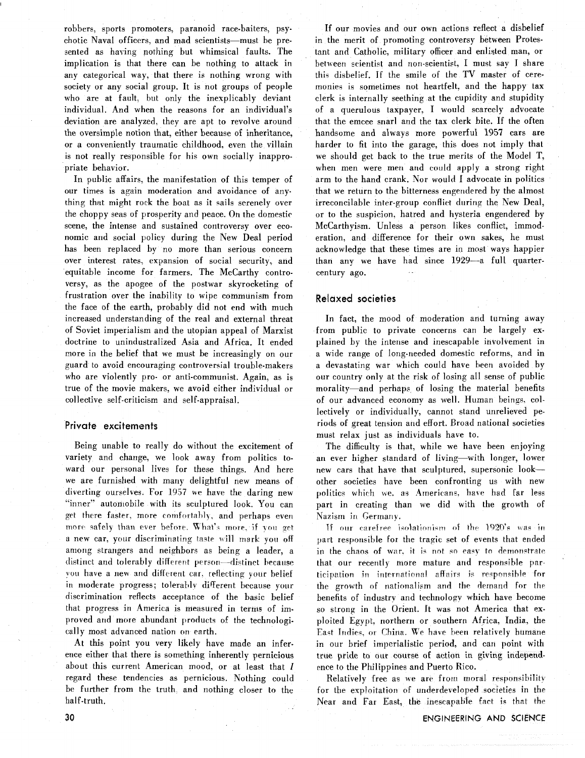robbers, sports promoters, paranoid race-baiters, psychotic Naval officers, and mad scientists-must be presented as having nothing but whimsical faults. The implication is that there can be nothing to attack in any categorical way, that there is nothing wrong with society or any social group. It is not groups of people who are at fault, but only the inexplicably deviant individual. And when the reasons for an individual's deviation are analyzed, they are apt to revolve around the oversimple notion that, either because of inheritance, or a conveniently traumatic childhood, even the villain is not really responsible for his own socially inappropriate behavior.

In public affairs, the manifestation of this temper of our times is again moderation and avoidance of anything that might rock the boat as it sails serenely over the choppy seas of prosperity and peace. On the domestic scene, the intense and sustained controversy over economic and social policy during the New Deal period has been replaced by no more than serious concern over interest rates, expansion of social security, and equitable income for farmers. The McCarthy controversy, as the apogee of the postwar skyrocketing of frustration over the inability to wipe communism from the face of the earth, probably did not end with much increased understanding of the real and external threat of Soviet imperialism and the utopian appeal of Marxist doctrine to unindustralized Asia and Africa. It ended more in the belief that we must be increasingly on our guard to avoid encouraging controversial trouble-makers who are violently pro- or anti-communist. Again, as is true of the movie makers, we avoid either individual or collective self-criticism and self-appraisal.

#### **Private excitements**

Being unable to really do without the excitement of variety and change, we look away from politics toward our personal lives for these things. And here we are furnished with many delightful new means of diverting ourselves. For 1957 we have the daring new "inner" autoniobile with its sculptured look. You can get there faster, more comfortably, and perhaps even more safely than ever before. What's more, if you get a new car, your discriminating taste will mark you off among strangers and neighbors as being a leader, a distinct and tolerably different person-distinct because you have a new and different car. reflecting your belief in moderate progress; tolerably different because your discrimination reflects acceptance of the basic belief that progress in America is rneasuied in terms of improved and more abundant products of the technologically most advanced nation on earth.

At this point you very likely have made an inference either that there is something inherently pernicious about this current American mood, or at least that I regard these tendencies as pernicious. Nothing could be further from the truth, and nothing closer to the half-truth.

If our movies and our own actions reflect a disbelief in the merit of promoting controversy between Protestant and Catholic, military officer and enlisted man, or between scientist and non-scientist, I must say I share this disbelief. If the smile of the TV master of ceremonies is sometimes not heartfelt, and the happy tax clerk is internally seething at the cupidity and stupidity of a querulous taxpayer, I would scarcely advocate that the emcee snarl and the tax clerk bite. If the often handsome and always more powerful 1957 cars are harder to fit into the garage, this does not imply that we should get back to the true merits of the Model T, when men were men and could apply a strong right arm to the hand crank. Nor would I advocate in politics that we return to the bitterness engendered by the almost irreconcilable inter-group conflict during the New Deal, or to the suspicion, hatred and hysteria engendered by McCarthyism. Unless a person likes conflict, immoderation, and difference for their own sakes, he must acknowledge that these times are in most ways happier than any we have had since 1929-a full quartercentury ago.

#### **Relaxed societies**

In fact, the mood of moderation and turning away from public to private concerns can be largely explained by the intense and inescapable involvement in a wide range of long-needed domestic reforms, and in a devastating war which could have been avoided by our country only at the risk of losing all sense of public morality-and perhaps of losing the material benefits of our advanced economy as well. Human beings, collectively or individually, cannot stand unrelieved periods of great tension and effort. Broad national societies must relax just as individuals have to.

The difficulty is that, while we have been enjoying an ever higher standard of living-with longer, lower new cars that have that sculptured, supersonic lookother societies have been confronting us with new politics which we. as Americans, have had far less part in creating than we did with the growth of Nazism in Germany.

If our carefree isolationism of the 1920's was in part responsible for the tragic set of events that ended in the chaos of war, it is not so easy to demonstrate that our recently more mature and responsible participation in international affairs is responsible for the growth of nationalism and the demand for the benefits of industry and technologv which have become so strong in the Orient. It was not America that **ex**ploited Egypt, northern or southern Africa, India, the East Indies, or China. We have been relatively humane in our brief imperialistic period, and can point with true pride to our course of action in giving independence to the Philippines and Puerto Rico.

Relatively free as we are from moral responsibility for the exploitation of underdeveloped societies in the Near and Far East, the inescapable fact is that the

ENGINEERING AND SCIENCE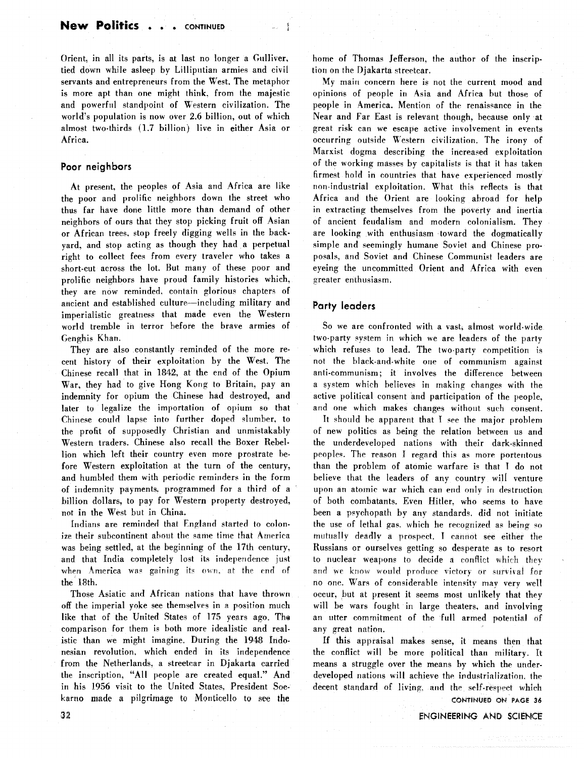Orient. in all its parts, is at last no longer a Gulliver, tied down while asleep by Lilliputian armies and civil servants and entrepreneurs from the West. The metaphor is more apt than one might think. from the majestic and powerful standpoint of Western civilization. The world's population is now over **2.6** billion, out of which almost two-thirds (1.7 billion) live in either Asia or Africa.

#### **Poor neighbors**

At present, the peoples of Asia and Africa are like the poor and prolific neighbors down the street who thus far have done little more than demand of other neighbors of ours that they stop picking fruit off Asian or African trees. stop freely digging wells in the backyard, and stop acting as though they had a perpetual right to collect fees from every traveler who takes a short-cut across the lot. But many of these poor and prolific neighbors have proud family histories which, they are now reminded. contain glorious chapters of ancient and established culture-including military and imperialistic greatness that made even the Western world tremble in terror before the brave armies of Genghis Khan.

They are also constantly reminded of the more recent history of their exploitation by the West. The Chinese recall that in 1842, at the end of the Opium War, they had to give Hong **Kong** to Britain, pay an indemnity for opium the Chinese had destroyed, and later to legalize the importation of opium so that Chinese could lapse into further doped slumber, to the profit of supposedly Christian and unmistakably Western traders. Chinese also recall the Boxer Rebellion which left their country even more prostrate before Western exploitation at the turn of the century, and humbled them with periodic reminders in the form of indemnity payments. programmed for a third of a billion dollars, to pay for Western property destroyed, not in the West but in China.

Indians are reminded that England started to colonize their subcontinent about the same time that America was being settled, at the beginning of the 17th century, and that India completely lost its independence just when America was gaining its own, at the end of the 18th.

Those Asiatic and African nations that have thrown off the imperial yoke see themselves in a position much like that of the United States of 175 years ago. The comparison for them is both more idealistic and realistic than we might imagine. During the 1948 Indonesian revolution, which ended in its independence from the Netherlands, a streetcar in Djakarta carried the inscription, "All people are created equal." And in his 1956 visit to the United States. President Soekarno made a pilgrimage to Moriticello **to** see the home of Thomas Jefferson, the author of the inscription on the Djakarta streetcar.

My main concern here is not the current mood and opinions of people in Asia and Africa but those of people in America. Mention of the renaissance in the Near and Far East is relevant though, because only at great risk can we escape active involvement in events occurring outside Western civilization. The irony of Marxist dogma describing the increased exploitation of the working masses by capitalists is that it has taken firmest hold in countries that have experienced mostly non-industrial exploitation. What this reflects is that Africa and the Orient are looking abroad for help in extracting themselves from the poverty and inertia of ancient feudalism and modern colonialism. They are looking with enthusiasm toward the dogmatically simple and seemingly humane Soviet and Chinese proposals, and Soviet and Chinese Communist leaders are eyeing the uncommitted Orient and Africa with even greater enthusiasm.

#### **Party leaders**

So we are confronted with a vast, almost world-wide two-party system in which we are leaders of the party which refuses to lead. The two-party competition is not the black-arid-white one of communism against anti-communism; it involves the difference between a system which believes in making changes with the active political consent and participation of the people, and one which makes changes without such consent.

It should be apparent that I see the major problem of new politics as being the relation between us and the underdeveloped nations with their dark-skinned peoples. The reason I regard this as more portentous than the problem of atomic warfare is that I do not believe that the leaders of any country will venture upon an atomic war which can end only in destruction of both combatants. Even Hitler. who seems to have been a psychopath by any standards, did not initiate the use of lethal gas. which he recognized as being so rnutiiallv deadlv a prospert. **I** cannot see either the Russians or ourselves getting so desperate as to resort to nuclear weapons to decide a conflict which they and we know would produce victory or survival for no one. Wars of considerable intensity may very well occur, but at present it seems most unlikely that they will be wars fought in large theaters, and involving an utter commitment of the full armed potential of any great nation.

If this appraisal makes sense, it means then that the conflict will be more political than military. It means a struggle over the means by which the underdeveloped nations will achieve the industrialization. the decent standard of living, and the self-respect which **CONTINUED** ON **PAGE 36** 

ENGINEERING AND SCIENCE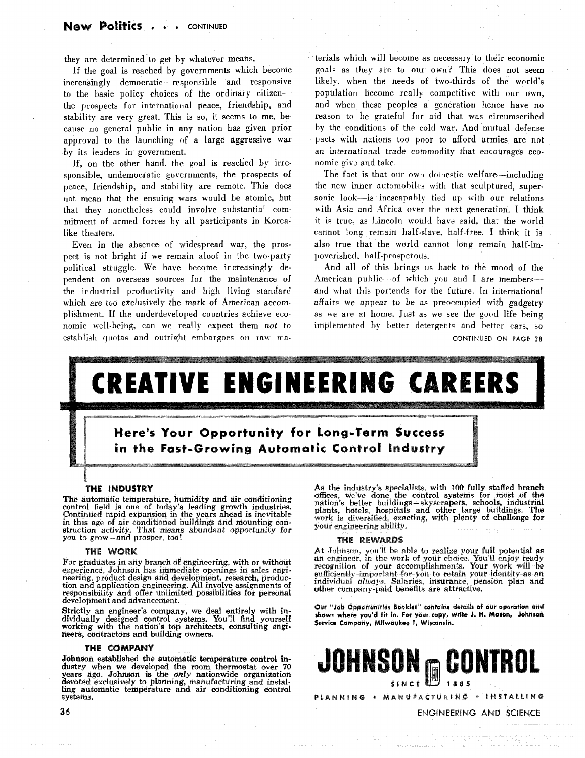they are determined to get by whatever means.

If the goal is reached by governments which become increasingly democratic-responsible and responsive to the basic policy choices of the ordinary citizenthe prospects for international peace, friendship, and stability are very great. This is so, it seems to me, because no general public in any nation has given prior approval to the launching of a large aggressive war by its leaders in government.

If, on the other hand, the goal is reached by irresponsible, undemocratic governments, the prospects of peace, friendship, and stability are remote. This does not mean that the ensuing wars would be atomic, but that they nonetheless could involve substantial commitment of armed forces by all participants in Korealike theaters.

Even in the absence of widespread war, the prospect is not bright if we remain aloof in the two-party political struggle. We have become increasingly dependent on overseas sources for the maintenance of the industrial productivity and high living standard which are too exclusively the mark of American accomplishment. If the underdeveloped countries achieve economic well-being, can we really expect them *not* to establish quotas and outright embargoes on raw materials which will become as necessary to their economic goals as they are to our own? This does not seem likely. when the needs of two-thirds of the world's population become really competitive with our own, and when these peoples a generation hence have no reason to be grateful for aid that was circumscribed by the conditions of the cold war. And mutual defense pacts with nations too poor to afford armies are not an international trade commodity that encourages economic give and take.

The fact is that our own domestic welfare—including the new inner automobiles with that sculptured, supersonic look-is inescapably tied up with our relations with Asia and Africa over the next generation. I think it is true, as Lincoln would have- said, that the world cannot long remain half-slave, half-free. I think it is also true that the world cannot long remain half-impoverished, half-prosperous.

And all of this brings us back to the mood of the American public-of which you and I are members-and what this portends for the future. In international affairs we appear to be as preoccupied with gadgetry as **we** are at home. Just as we see the good life being implemented by better detergents and better ears, so CONTINUED **ON PAGE 38** 

# EATIVE ENGINEERING CAREERS

### Here's Your Opportunity for Long-Term Success in the Fast-Growing Automatic Control Industry

#### THE INDUSTRY

The automatic temperature, humidity and air conditioning control field is one of today's leading growth industries. Continued rapid expansion in the years ahead is inevitable in this age of air conditioned buildings and mounting con- struction activity. That means abundant opportunity for struction activity. That means<br>you to grow – and prosper, too!

#### THE WORK

For graduates in any branch of engineering, with or without experience, Johnson has immediate openings in sales engineering, product design and development, research, production and application engineering. All involve assignments of responsibility and offer unlimited possibilities for personal development and advancement.

Strictly an engineer's company, we deal entirely with in-<br>dividually designed control systems. You'll find yourself working with the nation's top architects, consulting engimeets, contractors **and** building owners.

#### THE COMPANY

Johnson established the automatic temperature control industry when we developed the room thermostat over 70 years ago. Johnson is the *only* nationwide organization devoted exclusively to planning, manufacturing and installing automatic temperature and air conditioning control systems.

As the industry's specialists, with 100 **fully** staffed branch **offices,** we've done the control systems for most of the nation's better buildings-skyscrapers, schools, industrial plants, hotels, hospitals and other large buildings. The work is diversified, exacting., **with** plenty of challenge for your engineering ability.

#### THE REWARDS

At Johnson, you'll be able to realize your full potential as an engineer, in the work of your choice. You'll enjoy ready recognition of your accomplishments. Your work will be sufficiently important for you to retain your identity as an individual **always.** Salaries, insurance, pension **plan** and, other company-paid benefits are attractive.

Our "Job Opportunities Booklet" contains details of our operation and **show; where you'd fit in. For your copy, write J. H. Meson, Johnson Service Company, Milwaukee 1, Whcensin.** 



36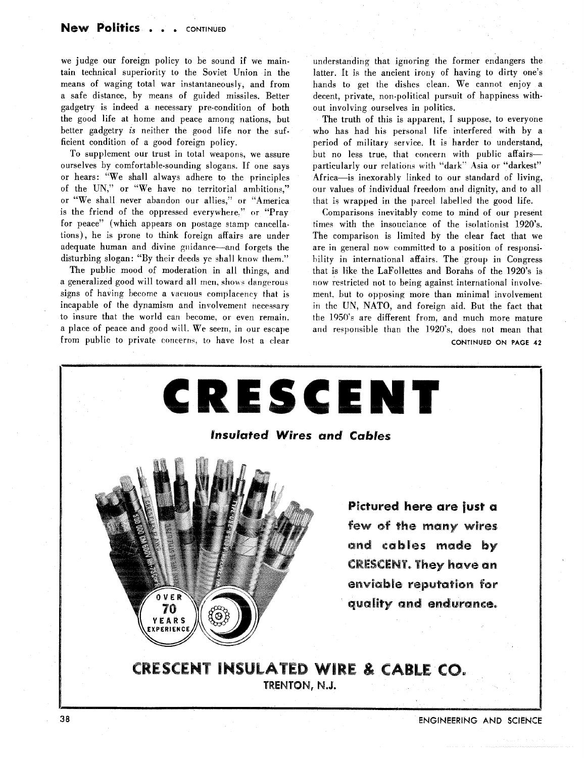we judge our foreign policy to be sound if we maintain technical superiority to the Soviet Union in the means of waging total war instantaneously, and from a safe distance, by means of guided missiles. Better gadgetry is indeed a necessary pre-condition of both the good life at home and peace arnong nations, but better gadgetry is neither the good life nor the sufficient condition of a good foreign policy.

To supplement our trust in total weapons, we assure ourselves by comfortable-sounding slogans. If one says or hears: "We shall always adhere to the principles of the UN," or "We have no territorial ambitions," or "We shall never abandon our allies," or "America is the friend of the oppressed everywhere." or "Pray for peace" (which appears on postage stamp cancellations), he is prone to think foreign affairs are under adequate human and divine guidance-and forgets the disturbing slogan: "By their deeds ye shall know them."

The public mood of moderation in all things, and a generalized good will toward all men, shows dangerous signs of having become a vacuous complacency that is incapable of the dynamism and involvement necessary to insure that the world can become, or even remain. a place of peace and good will. We seem, in our escape from public to private concerns, to have lost a clear understanding that ignoring the former endangers the latter. It is the ancient irony of having to dirty one's hands to get the dishes clean. We cannot enjoy a decent, private, non-political pursuit of happiness without involving ourselves in politics.

The truth of this is apparent, I suppose, to everyone who has had his personal life interfered with by a period of military service. It is harder to understand, but no less true, that concern with public affairsparticularly our relations with "dark" Asia or "darkest" Africa-is inexorably linked to our standard of living, **<sup>0111</sup>**values of individual freedom and dignity, and to all that is wrapped in the parcel labelled the good life.

Comparisons inevitably come to mind of our present times with the insouciance of the isolationist 1920's. The comparison is limited by the clear fact that we are in general now committed to a position of responsibility in international affairs. The group in Congress that is like the LaFollettes and Borahs of the 1920's is now restricted not to being against international involvement. but to opposing more than minimal involvement in the UN, NATO, and foreign aid. But the fact that the 1950"s are different from, and much more mature and responsible than the 1920's, does not mean that CONTINUED ON PAGE 42